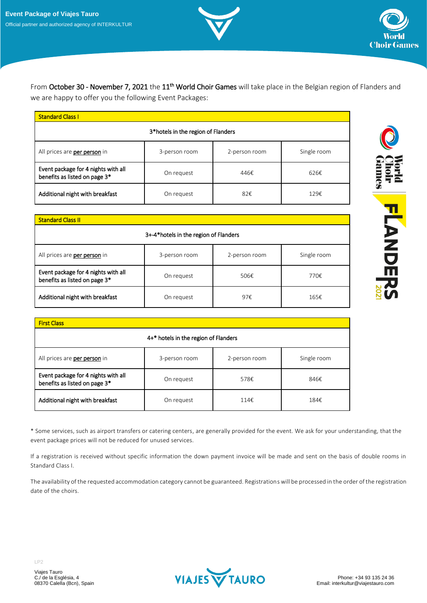



**FLANDERS** 

From October 30 - November 7, 2021 the 11<sup>th</sup> World Choir Games will take place in the Belgian region of Flanders and we are happy to offer you the following Event Packages:

| <b>Standard Class I</b>                                              |               |               |             |  |  |
|----------------------------------------------------------------------|---------------|---------------|-------------|--|--|
| 3*hotels in the region of Flanders                                   |               |               |             |  |  |
| All prices are per person in                                         | 3-person room | 2-person room | Single room |  |  |
| Event package for 4 nights with all<br>benefits as listed on page 3* | On request    | 446€          | 626€        |  |  |
| Additional night with breakfast                                      | On request    | 82€           | 129€        |  |  |

| <b>Standard Class II</b>                                             |               |               |             |  |
|----------------------------------------------------------------------|---------------|---------------|-------------|--|
| 3+-4*hotels in the region of Flanders                                |               |               |             |  |
| All prices are per person in                                         | 3-person room | 2-person room | Single room |  |
| Event package for 4 nights with all<br>benefits as listed on page 3* | On request    | 506€          | 770€        |  |
| Additional night with breakfast                                      | On request    | 97€           | 165€        |  |

| <b>First Class</b>                                                   |               |               |             |  |  |
|----------------------------------------------------------------------|---------------|---------------|-------------|--|--|
| 4+* hotels in the region of Flanders                                 |               |               |             |  |  |
| All prices are per person in                                         | 3-person room | 2-person room | Single room |  |  |
| Event package for 4 nights with all<br>benefits as listed on page 3* | On request    | 578€          | 846€        |  |  |
| Additional night with breakfast                                      | On request    | 114€          | 184€        |  |  |

\* Some services, such as airport transfers or catering centers, are generally provided for the event. We ask for your understanding, that the event package prices will not be reduced for unused services.

If a registration is received without specific information the down payment invoice will be made and sent on the basis of double rooms in Standard Class I.

The availability of the requested accommodation category cannot be guaranteed. Registrations will be processed in the order of the registration date of the choirs.

LP2

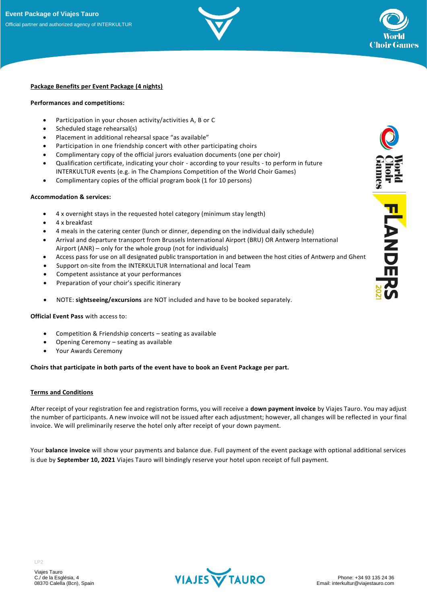



# **Package Benefits per Event Package (4 nights)**

#### **Performances and competitions:**

- Participation in your chosen activity/activities A, B or C
- Scheduled stage rehearsal(s)
- Placement in additional rehearsal space "as available"
- Participation in one friendship concert with other participating choirs
- Complimentary copy of the official jurors evaluation documents (one per choir)
- Qualification certificate, indicating your choir according to your results to perform in future INTERKULTUR events (e.g. in The Champions Competition of the World Choir Games)
- Complimentary copies of the official program book (1 for 10 persons)

#### **Accommodation & services:**

- 4 x overnight stays in the requested hotel category (minimum stay length)
- 4 x breakfast
- 4 meals in the catering center (lunch or dinner, depending on the individual daily schedule)
- Arrival and departure transport from Brussels International Airport (BRU) OR Antwerp International Airport (ANR) – only for the whole group (not for individuals)
- Access pass for use on all designated public transportation in and between the host cities of Antwerp and Ghent
- Support on-site from the INTERKULTUR International and local Team
- Competent assistance at your performances
- Preparation of your choir's specific itinerary
- NOTE: **sightseeing/excursions** are NOT included and have to be booked separately.

## **Official Event Pass** with access to:

- Competition & Friendship concerts seating as available
- Opening Ceremony seating as available
- Your Awards Ceremony

## **Choirs that participate in both parts of the event have to book an Event Package per part.**

## **Terms and Conditions**

After receipt of your registration fee and registration forms, you will receive a **down payment invoice** by Viajes Tauro. You may adjust the number of participants. A new invoice will not be issued after each adjustment; however, all changes will be reflected in your final invoice. We will preliminarily reserve the hotel only after receipt of your down payment.

Your **balance invoice** will show your payments and balance due. Full payment of the event package with optional additional services is due by **September 10, 2021** Viajes Tauro will bindingly reserve your hotel upon receipt of full payment.